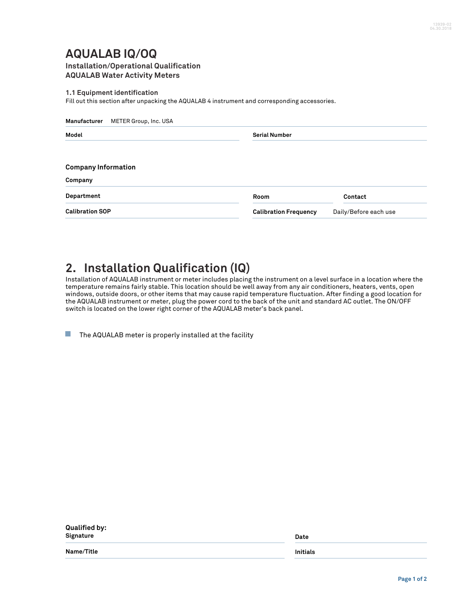## **AQUALAB IQ/OQ Installation/Operational Qualification**

**AQUALAB Water Activity Meters**

**1.1 Equipment identification**

Fill out this section after unpacking the AQUALAB 4 instrument and corresponding accessories.

| Manufacturer<br>METER Group, Inc. USA |                              |                       |  |  |
|---------------------------------------|------------------------------|-----------------------|--|--|
| Model                                 | <b>Serial Number</b>         |                       |  |  |
| <b>Company Information</b>            |                              |                       |  |  |
| Company                               |                              |                       |  |  |
| Department                            | Room                         | Contact               |  |  |
| <b>Calibration SOP</b>                | <b>Calibration Frequency</b> | Daily/Before each use |  |  |

## **2. Installation Qualification (IQ)**

Installation of AQUALAB instrument or meter includes placing the instrument on a level surface in a location where the temperature remains fairly stable. This location should be well away from any air conditioners, heaters, vents, open windows, outside doors, or other items that may cause rapid temperature fluctuation. After finding a good location for the AQUALAB instrument or meter, plug the power cord to the back of the unit and standard AC outlet. The ON/OFF switch is located on the lower right corner of the AQUALAB meter's back panel.

 $\Box$ The AQUALAB meter is properly installed at the facility

| Qualified by:<br>Signature | Date            |  |
|----------------------------|-----------------|--|
| Name/Title                 | <b>Initials</b> |  |